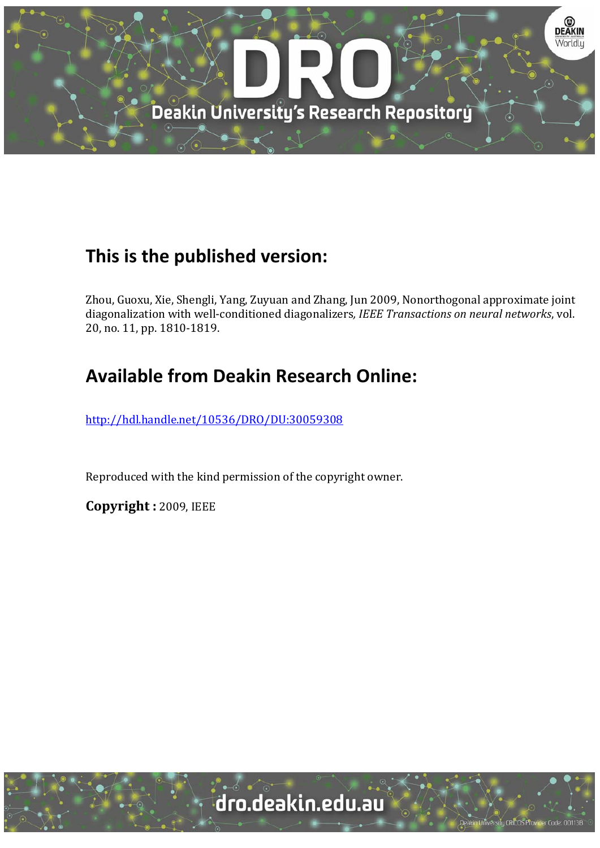

# **This is the published version:**

Zhou, Guoxu, Xie, Shengli, Yang, Zuyuan and Zhang, Jun 2009, Nonorthogonal approximate joint diagonalization with well‐conditioned diagonalizers*, IEEE Transactions on neural networks*, vol. 20, no. 11, pp. 1810-1819.

# **Available from Deakin Research Online:**

http://hdl.handle.net/10536/DRO/DU:30059308

Reproduced with the kind permission of the copyright owner.

**Copyright :** 2009, IEEE 

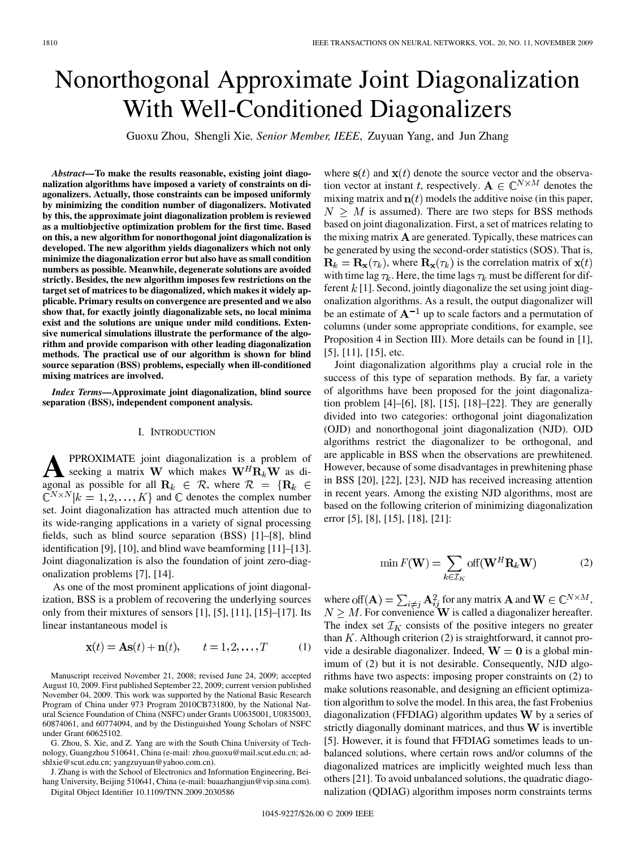# Nonorthogonal Approximate Joint Diagonalization With Well-Conditioned Diagonalizers

Guoxu Zhou, Shengli Xie*, Senior Member, IEEE*, Zuyuan Yang, and Jun Zhang

*Abstract—***To make the results reasonable, existing joint diagonalization algorithms have imposed a variety of constraints on diagonalizers. Actually, those constraints can be imposed uniformly by minimizing the condition number of diagonalizers. Motivated by this, the approximate joint diagonalization problem is reviewed as a multiobjective optimization problem for the first time. Based on this, a new algorithm for nonorthogonal joint diagonalization is developed. The new algorithm yields diagonalizers which not only minimize the diagonalization error but also have as small condition numbers as possible. Meanwhile, degenerate solutions are avoided strictly. Besides, the new algorithm imposes few restrictions on the target set of matrices to be diagonalized, which makes it widely applicable. Primary results on convergence are presented and we also show that, for exactly jointly diagonalizable sets, no local minima exist and the solutions are unique under mild conditions. Extensive numerical simulations illustrate the performance of the algorithm and provide comparison with other leading diagonalization methods. The practical use of our algorithm is shown for blind source separation (BSS) problems, especially when ill-conditioned mixing matrices are involved.**

*Index Terms—***Approximate joint diagonalization, blind source separation (BSS), independent component analysis.**

#### I. INTRODUCTION

**A** PPROXIMATE joint diagonalization is a problem of seeking a matrix W which makes  $W^H R_k W$  as diagonal as possible for all  $\mathbf{R}_k \in \mathcal{R}$ , where  $\mathcal{R} = \{ \mathbf{R}_k \in \mathcal{R} \}$  $\mathbb{C}^{N\times N}$   $|k = 1, 2, ..., K$  and  $\mathbb C$  denotes the complex number set. Joint diagonalization has attracted much attention due to its wide-ranging applications in a variety of signal processing fields, such as blind source separation (BSS) [1]–[8], blind identification [9], [10], and blind wave beamforming [11]–[13]. Joint diagonalization is also the foundation of joint zero-diagonalization problems [7], [14].

As one of the most prominent applications of joint diagonalization, BSS is a problem of recovering the underlying sources only from their mixtures of sensors [1], [5], [11], [15]–[17]. Its linear instantaneous model is

$$
\mathbf{x}(t) = \mathbf{A}\mathbf{s}(t) + \mathbf{n}(t), \qquad t = 1, 2, \dots, T \tag{1}
$$

Manuscript received November 21, 2008; revised June 24, 2009; accepted August 10, 2009. First published September 22, 2009; current version published November 04, 2009. This work was supported by the National Basic Research Program of China under 973 Program 2010CB731800, by the National Natural Science Foundation of China (NSFC) under Grants U0635001, U0835003, 60874061, and 60774094, and by the Distinguished Young Scholars of NSFC under Grant 60625102.

G. Zhou, S. Xie, and Z. Yang are with the South China University of Technology, Guangzhou 510641, China (e-mail: zhou.guoxu@mail.scut.edu.cn; adshlxie@scut.edu.cn; yangzuyuan@yahoo.com.cn).

J. Zhang is with the School of Electronics and Information Engineering, Beihang University, Beijing 510641, China (e-mail: buaazhangjun@vip.sina.com).

Digital Object Identifier 10.1109/TNN.2009.2030586

where  $s(t)$  and  $x(t)$  denote the source vector and the observation vector at instant t, respectively.  $\mathbf{A} \in \mathbb{C}^{N \times M}$  denotes the mixing matrix and  $\mathbf{n}(t)$  models the additive noise (in this paper,  $N > M$  is assumed). There are two steps for BSS methods based on joint diagonalization. First, a set of matrices relating to the mixing matrix  $\bf{A}$  are generated. Typically, these matrices can be generated by using the second-order statistics (SOS). That is,  $\mathbf{R}_k = \mathbf{R}_{\mathbf{x}}(\tau_k)$ , where  $\mathbf{R}_{\mathbf{x}}(\tau_k)$  is the correlation matrix of  $\mathbf{x}(t)$ with time lag  $\tau_k$ . Here, the time lags  $\tau_k$  must be different for different  $k[1]$ . Second, jointly diagonalize the set using joint diagonalization algorithms. As a result, the output diagonalizer will be an estimate of  $A^{-1}$  up to scale factors and a permutation of columns (under some appropriate conditions, for example, see Proposition 4 in Section III). More details can be found in [1], [5], [11], [15], etc.

Joint diagonalization algorithms play a crucial role in the success of this type of separation methods. By far, a variety of algorithms have been proposed for the joint diagonalization problem [4]–[6], [8], [15], [18]–[22]. They are generally divided into two categories: orthogonal joint diagonalization (OJD) and nonorthogonal joint diagonalization (NJD). OJD algorithms restrict the diagonalizer to be orthogonal, and are applicable in BSS when the observations are prewhitened. However, because of some disadvantages in prewhitening phase in BSS [20], [22], [23], NJD has received increasing attention in recent years. Among the existing NJD algorithms, most are based on the following criterion of minimizing diagonalization error [5], [8], [15], [18], [21]:

$$
\min F(\mathbf{W}) = \sum_{k \in \mathcal{I}_K} \text{off}(\mathbf{W}^H \mathbf{R}_k \mathbf{W}) \tag{2}
$$

where off  $({\bf A}) = \sum_{i \neq j} {\bf A}_{ij}^2$  for any matrix  ${\bf A}$  and  ${\bf W} \in \mathbb{C}^{N \times M}$ , . For convenience  $W$  is called a diagonalizer hereafter. The index set  $\mathcal{I}_K$  consists of the positive integers no greater than  $K$ . Although criterion (2) is straightforward, it cannot provide a desirable diagonalizer. Indeed,  $W = 0$  is a global minimum of (2) but it is not desirable. Consequently, NJD algorithms have two aspects: imposing proper constraints on (2) to make solutions reasonable, and designing an efficient optimization algorithm to solve the model. In this area, the fast Frobenius diagonalization (FFDIAG) algorithm updates  $W$  by a series of strictly diagonally dominant matrices, and thus  $W$  is invertible [5]. However, it is found that FFDIAG sometimes leads to unbalanced solutions, where certain rows and/or columns of the diagonalized matrices are implicitly weighted much less than others [21]. To avoid unbalanced solutions, the quadratic diagonalization (QDIAG) algorithm imposes norm constraints terms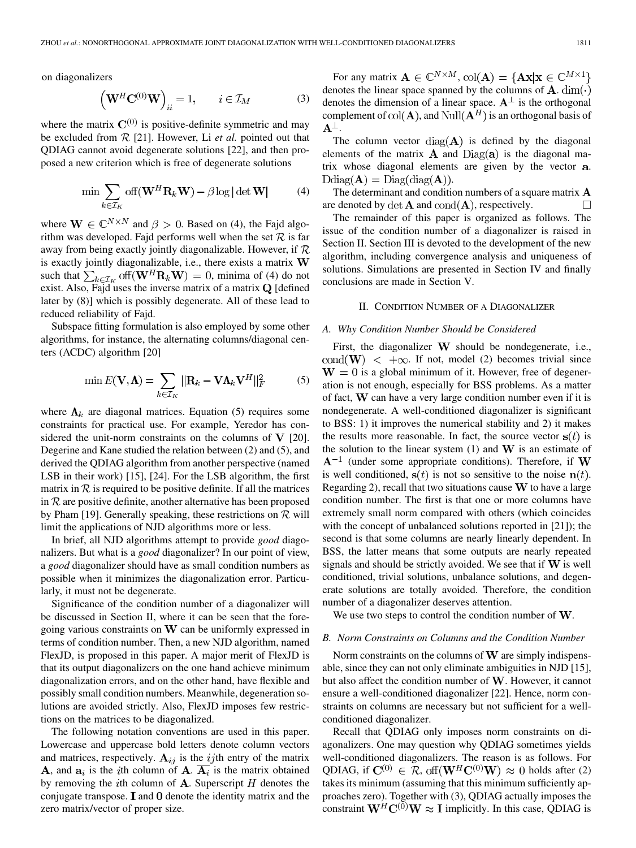on diagonalizers

$$
\left(\mathbf{W}^{H}\mathbf{C}^{(0)}\mathbf{W}\right)_{ii} = 1, \qquad i \in \mathcal{I}_{M}
$$
 (3)

where the matrix  $\mathbf{C}^{(0)}$  is positive-definite symmetric and may be excluded from  $R$  [21]. However, Li *et al.* pointed out that QDIAG cannot avoid degenerate solutions [22], and then proposed a new criterion which is free of degenerate solutions

$$
\min \sum_{k \in \mathcal{I}_K} \text{off}(\mathbf{W}^H \mathbf{R}_k \mathbf{W}) - \beta \log |\det \mathbf{W}| \tag{4}
$$

where  $\mathbf{W} \in \mathbb{C}^{N \times N}$  and  $\beta > 0$ . Based on (4), the Fajd algorithm was developed. Fajd performs well when the set  $\mathcal R$  is far away from being exactly jointly diagonalizable. However, if  $R$ is exactly jointly diagonalizable, i.e., there exists a matrix  $W$ such that  $\sum_{k \in \mathcal{I}_K}$  of  $(\mathbf{W}^H \mathbf{R}_k \mathbf{W}) = 0$ , minima of (4) do not exist. Also, Fajd uses the inverse matrix of a matrix  $Q$  [defined later by (8)] which is possibly degenerate. All of these lead to reduced reliability of Fajd.

Subspace fitting formulation is also employed by some other algorithms, for instance, the alternating columns/diagonal centers (ACDC) algorithm [20]

$$
\min E(\mathbf{V}, \mathbf{\Lambda}) = \sum_{k \in \mathcal{I}_K} ||\mathbf{R}_k - \mathbf{V} \mathbf{\Lambda}_k \mathbf{V}^H||_F^2 \tag{5}
$$

where  $\Lambda_k$  are diagonal matrices. Equation (5) requires some constraints for practical use. For example, Yeredor has considered the unit-norm constraints on the columns of  $V$  [20]. Degerine and Kane studied the relation between (2) and (5), and derived the QDIAG algorithm from another perspective (named LSB in their work) [15], [24]. For the LSB algorithm, the first matrix in  $R$  is required to be positive definite. If all the matrices in  $R$  are positive definite, another alternative has been proposed by Pham [19]. Generally speaking, these restrictions on  $\mathcal R$  will limit the applications of NJD algorithms more or less.

In brief, all NJD algorithms attempt to provide *good* diagonalizers. But what is a *good* diagonalizer? In our point of view, a *good* diagonalizer should have as small condition numbers as possible when it minimizes the diagonalization error. Particularly, it must not be degenerate.

Significance of the condition number of a diagonalizer will be discussed in Section II, where it can be seen that the foregoing various constraints on  $W$  can be uniformly expressed in terms of condition number. Then, a new NJD algorithm, named FlexJD, is proposed in this paper. A major merit of FlexJD is that its output diagonalizers on the one hand achieve minimum diagonalization errors, and on the other hand, have flexible and possibly small condition numbers. Meanwhile, degeneration solutions are avoided strictly. Also, FlexJD imposes few restrictions on the matrices to be diagonalized.

The following notation conventions are used in this paper. Lowercase and uppercase bold letters denote column vectors and matrices, respectively.  $A_{ij}$  is the ijth entry of the matrix **A**, and  $a_i$  is the *i*th column of **A**.  $\overline{A_i}$  is the matrix obtained by removing the *i*th column of  $A$ . Superscript  $H$  denotes the conjugate transpose.  $I$  and  $O$  denote the identity matrix and the zero matrix/vector of proper size.

For any matrix  $\mathbf{A} \in \mathbb{C}^{N \times M}$ ,  $\text{col}(\mathbf{A}) = \{ \mathbf{A} \mathbf{x} | \mathbf{x} \in \mathbb{C}^{M \times 1} \}$ denotes the linear space spanned by the columns of  $\mathbf{A}$ . dim( $\cdot$ ) denotes the dimension of a linear space.  $A^{\perp}$  is the orthogonal complement of  $\text{col}(\mathbf{A})$ , and  $\text{Null}(\mathbf{A}^H)$  is an orthogonal basis of  $\mathbf{A}^{\perp}$ .

The column vector  $diag(A)$  is defined by the diagonal elements of the matrix  $\bf{A}$  and  $Diag(\bf{a})$  is the diagonal matrix whose diagonal elements are given by the vector a.  $\text{Ddiag}(\mathbf{A}) = \text{Diag}(\text{diag}(\mathbf{A})).$ 

The determinant and condition numbers of a square matrix  $\bf{A}$ are denoted by  $\det A$  and  $\text{cond}(A)$ , respectively. П

The remainder of this paper is organized as follows. The issue of the condition number of a diagonalizer is raised in Section II. Section III is devoted to the development of the new algorithm, including convergence analysis and uniqueness of solutions. Simulations are presented in Section IV and finally conclusions are made in Section V.

## II. CONDITION NUMBER OF A DIAGONALIZER

#### *A. Why Condition Number Should be Considered*

First, the diagonalizer  $W$  should be nondegenerate, i.e., cond(W)  $\lt +\infty$ . If not, model (2) becomes trivial since  $W = 0$  is a global minimum of it. However, free of degeneration is not enough, especially for BSS problems. As a matter of fact,  $W$  can have a very large condition number even if it is nondegenerate. A well-conditioned diagonalizer is significant to BSS: 1) it improves the numerical stability and 2) it makes the results more reasonable. In fact, the source vector  $s(t)$  is the solution to the linear system  $(1)$  and W is an estimate of  $A^{-1}$  (under some appropriate conditions). Therefore, if W is well conditioned,  $s(t)$  is not so sensitive to the noise  $n(t)$ . Regarding 2), recall that two situations cause  $W$  to have a large condition number. The first is that one or more columns have extremely small norm compared with others (which coincides with the concept of unbalanced solutions reported in [21]); the second is that some columns are nearly linearly dependent. In BSS, the latter means that some outputs are nearly repeated signals and should be strictly avoided. We see that if  $W$  is well conditioned, trivial solutions, unbalance solutions, and degenerate solutions are totally avoided. Therefore, the condition number of a diagonalizer deserves attention.

We use two steps to control the condition number of  $W$ .

#### *B. Norm Constraints on Columns and the Condition Number*

Norm constraints on the columns of  $W$  are simply indispensable, since they can not only eliminate ambiguities in NJD [15], but also affect the condition number of  $W$ . However, it cannot ensure a well-conditioned diagonalizer [22]. Hence, norm constraints on columns are necessary but not sufficient for a wellconditioned diagonalizer.

Recall that QDIAG only imposes norm constraints on diagonalizers. One may question why QDIAG sometimes yields well-conditioned diagonalizers. The reason is as follows. For QDIAG, if  $\mathbf{C}^{(0)} \in \mathcal{R}$ , off $(\mathbf{W}^H \mathbf{C}^{(0)} \mathbf{W}) \approx 0$  holds after (2) takes its minimum (assuming that this minimum sufficiently approaches zero). Together with (3), QDIAG actually imposes the constraint  $W^H C^{(0)} W \approx I$  implicitly. In this case, QDIAG is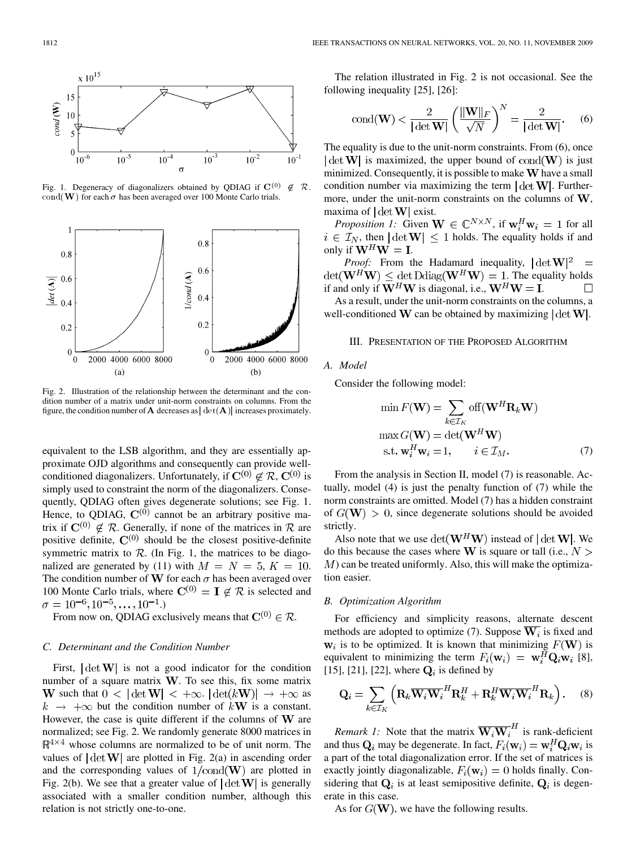

Fig. 1. Degeneracy of diagonalizers obtained by QDIAG if  $\mathbf{C}^{(0)}$  $\notin \mathcal{R}$ .  $\overline{\text{cond}}(\mathbf{W})$  for each  $\sigma$  has been averaged over 100 Monte Carlo trials.



Fig. 2. Illustration of the relationship between the determinant and the condition number of a matrix under unit-norm constraints on columns. From the figure, the condition number of **A** decreases as  $|\det(A)|$  increases proximately.

equivalent to the LSB algorithm, and they are essentially approximate OJD algorithms and consequently can provide wellconditioned diagonalizers. Unfortunately, if  $\mathbf{C}^{(0)} \notin \mathcal{R}$ ,  $\mathbf{C}^{(0)}$  is simply used to constraint the norm of the diagonalizers. Consequently, QDIAG often gives degenerate solutions; see Fig. 1. Hence, to QDIAG,  $\mathbf{C}^{(0)}$  cannot be an arbitrary positive matrix if  $C^{(0)} \notin \mathcal{R}$ . Generally, if none of the matrices in  $\mathcal{R}$  are positive definite,  $\mathbf{C}^{(0)}$  should be the closest positive-definite symmetric matrix to  $\mathcal{R}$ . (In Fig. 1, the matrices to be diagonalized are generated by (11) with  $M = N = 5, K = 10$ . The condition number of W for each  $\sigma$  has been averaged over 100 Monte Carlo trials, where  $C^{(0)} = I \notin \mathcal{R}$  is selected and  $\sigma = 10^{-6}, 10^{-5}, \dots, 10^{-1}$ .

From now on, QDIAG exclusively means that  $\mathbf{C}^{(0)} \in \mathcal{R}$ .

#### *C. Determinant and the Condition Number*

First,  $\det W$  is not a good indicator for the condition number of a square matrix  $W$ . To see this, fix some matrix **W** such that  $0 < |\det W| < +\infty$ .  $|\det(kW)| \rightarrow +\infty$  as  $k \rightarrow +\infty$  but the condition number of kW is a constant. However, the case is quite different if the columns of  $W$  are normalized; see Fig. 2. We randomly generate 8000 matrices in  $\mathbb{R}^{4\times4}$  whose columns are normalized to be of unit norm. The values of  $\det W$  are plotted in Fig. 2(a) in ascending order and the corresponding values of  $1/\text{cond}(\mathbf{W})$  are plotted in Fig. 2(b). We see that a greater value of  $|\det W|$  is generally associated with a smaller condition number, although this relation is not strictly one-to-one.

The relation illustrated in Fig. 2 is not occasional. See the following inequality [25], [26]:

$$
\text{cond}(\mathbf{W}) < \frac{2}{|\det \mathbf{W}|} \left(\frac{\|\mathbf{W}\|_F}{\sqrt{N}}\right)^N = \frac{2}{|\det \mathbf{W}|}. \tag{6}
$$

The equality is due to the unit-norm constraints. From (6), once  $|\det W|$  is maximized, the upper bound of cond(W) is just minimized. Consequently, it is possible to make  $W$  have a small condition number via maximizing the term  $|\det W|$ . Furthermore, under the unit-norm constraints on the columns of  $W$ , maxima of  $|\det W|$  exist.

*Proposition 1:* Given  $\mathbf{W} \in \mathbb{C}^{N \times N}$ , if  $\mathbf{w}_i^H \mathbf{w}_i = 1$  for all  $i \in \mathcal{I}_N$ , then  $|\det W| \leq 1$  holds. The equality holds if and only if  $W^H W = I$ .

*Proof:* From the Hadamard inequality,  $|\det W|^2$  =  $\det(\mathbf{W}^H \mathbf{W}) \leq \det \text{Ddiag}(\mathbf{W}^H \mathbf{W}) = 1$ . The equality holds if and only if  $W^H W$  is diagonal, i.e.,  $W^H W = I$ .

As a result, under the unit-norm constraints on the columns, a well-conditioned W can be obtained by maximizing  $|\det W|$ .

## III. PRESENTATION OF THE PROPOSED ALGORITHM

#### *A. Model*

Consider the following model:

$$
\min F(\mathbf{W}) = \sum_{k \in \mathcal{I}_K} \text{off}(\mathbf{W}^H \mathbf{R}_k \mathbf{W})
$$

$$
\max G(\mathbf{W}) = \det(\mathbf{W}^H \mathbf{W})
$$

$$
\text{s.t. } \mathbf{w}_i^H \mathbf{w}_i = 1, \qquad i \in \mathcal{I}_M. \tag{7}
$$

From the analysis in Section II, model (7) is reasonable. Actually, model (4) is just the penalty function of (7) while the norm constraints are omitted. Model (7) has a hidden constraint of  $G(\mathbf{W}) > 0$ , since degenerate solutions should be avoided strictly.

Also note that we use  $\det(\mathbf{W}^H \mathbf{W})$  instead of  $|\det \mathbf{W}|$ . We do this because the cases where W is square or tall (i.e.,  $N >$  $M$ ) can be treated uniformly. Also, this will make the optimization easier.

#### *B. Optimization Algorithm*

For efficiency and simplicity reasons, alternate descent methods are adopted to optimize (7). Suppose  $\overline{W}_i$  is fixed and  $w_i$  is to be optimized. It is known that minimizing  $F(W)$  is equivalent to minimizing the term  $F_i(\mathbf{w}_i) = \mathbf{w}_i^H \mathbf{Q}_i \mathbf{w}_i$  [8], [15], [21], [22], where  $\mathbf{Q}_i$  is defined by

$$
\mathbf{Q}_{i} = \sum_{k \in \mathcal{I}_{K}} \left( \mathbf{R}_{k} \overline{\mathbf{W}_{i} \mathbf{W}_{i}}^{H} \mathbf{R}_{k}^{H} + \mathbf{R}_{k}^{H} \overline{\mathbf{W}_{i} \mathbf{W}_{i}}^{H} \mathbf{R}_{k} \right). \tag{8}
$$

*Remark 1:* Note that the matrix  $\overline{W_iW_i}^H$  is rank-deficient and thus  $\mathbf{Q}_i$  may be degenerate. In fact,  $F_i(\mathbf{w}_i) = \mathbf{w}_i^H \mathbf{Q}_i \mathbf{w}_i$  is a part of the total diagonalization error. If the set of matrices is exactly jointly diagonalizable,  $F_i(\mathbf{w}_i) = 0$  holds finally. Considering that  $Q_i$  is at least semipositive definite,  $Q_i$  is degenerate in this case.

As for  $G(W)$ , we have the following results.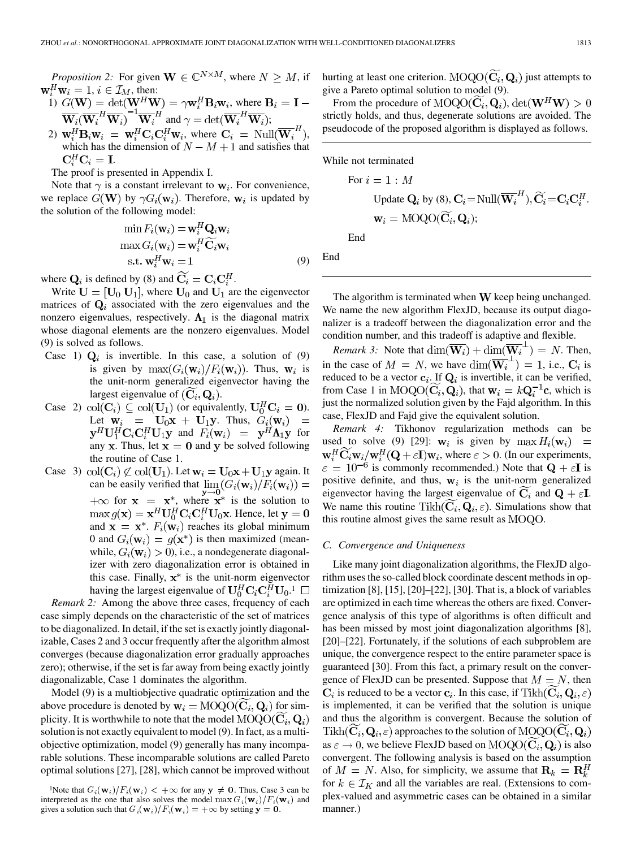*Proposition 2:* For given  $W \in \mathbb{C}^{N \times M}$ , where  $N \geq M$ , if  $\mathbf{w}_i^H \mathbf{w}_i = 1, i \in \mathcal{I}_M$ , then:

1) 
$$
G(\mathbf{W}) = \det(\mathbf{W}^H \mathbf{W}) = \gamma \mathbf{w}_i^H \mathbf{B}_i \mathbf{w}_i
$$
, where  $\mathbf{B}_i = \mathbf{I} - \overline{\mathbf{W}_i(\mathbf{W}_i^H \mathbf{W}_i)}^{-1} \overline{\mathbf{W}_i}^H$  and  $\gamma = \det(\overline{\mathbf{W}_i}^H \overline{\mathbf{W}_i})$ ;

2)  $\mathbf{w}_i^H \mathbf{B}_i \mathbf{w}_i = \mathbf{w}_i^H \mathbf{C}_i \mathbf{C}_i^H \mathbf{w}_i$ , where  $\mathbf{C}_i = \text{Null}(\overline{\mathbf{W}_i}^H)$ , which has the dimension of  $N - M + 1$  and satisfies that  $\mathbf{C}_i^H \mathbf{C}_i = \mathbf{I}.$ 

The proof is presented in Appendix I.

Note that  $\gamma$  is a constant irrelevant to  $w_i$ . For convenience, we replace  $G(\mathbf{W})$  by  $\gamma G_i(\mathbf{w}_i)$ . Therefore,  $\mathbf{w}_i$  is updated by the solution of the following model:

$$
\min F_i(\mathbf{w}_i) = \mathbf{w}_i^H \mathbf{Q}_i \mathbf{w}_i
$$

$$
\max G_i(\mathbf{w}_i) = \mathbf{w}_i^H \widetilde{\mathbf{C}}_i \mathbf{w}_i
$$

$$
\text{s.t. } \mathbf{w}_i^H \mathbf{w}_i = 1
$$
(9)

where  $\mathbf{Q}_i$  is defined by (8) and  $\widetilde{\mathbf{C}_i} = \mathbf{C}_i \mathbf{C}_i^H$ .

Write  $U = [U_0 U_1]$ , where  $U_0$  and  $U_1$  are the eigenvector matrices of  $Q_i$  associated with the zero eigenvalues and the nonzero eigenvalues, respectively.  $\Lambda_1$  is the diagonal matrix whose diagonal elements are the nonzero eigenvalues. Model (9) is solved as follows.

- Case 1)  $Q_i$  is invertible. In this case, a solution of (9) is given by  $\max(G_i(\mathbf{w}_i)/F_i(\mathbf{w}_i))$ . Thus,  $\mathbf{w}_i$  is the unit-norm generalized eigenvector having the largest eigenvalue of  $(C_i, Q_i)$ .
- Case 2)  $\text{col}(\mathbf{C}_i) \subseteq \text{col}(\mathbf{U}_1)$  (or equivalently,  $\mathbf{U}_0^H \mathbf{C}_i = \mathbf{0}$ ). Let  $\mathbf{w}_i = \mathbf{U}_0 \mathbf{x} + \mathbf{U}_1 \mathbf{y}$ . Thus,  $\hat{G}_i(\mathbf{w}_i) =$  $\mathbf{y}^H \mathbf{U}_1^H \mathbf{C}_i \mathbf{C}_i^H \mathbf{U}_1 \mathbf{y}$  and  $F_i(\mathbf{w}_i) = \mathbf{y}^H \mathbf{\Lambda}_1 \mathbf{y}$  for any x. Thus, let  $x = 0$  and y be solved following the routine of Case 1.
- Case 3)  $\text{col}(\mathbf{C}_i) \not\subset \text{col}(\mathbf{U}_1)$ . Let  $\mathbf{w}_i = \mathbf{U}_0 \mathbf{x} + \mathbf{U}_1 \mathbf{y}$  again. It can be easily verified that  $\lim_{i} (G_i(\mathbf{w}_i)/F_i(\mathbf{w}_i)) =$  $f \to \infty$  for  $x = x^*$ , where  $x^*$  is the solution to  $\max g(\mathbf{x}) = \mathbf{x}^H \mathbf{U}_0^H \mathbf{C}_i \mathbf{C}_i^H \mathbf{U}_0 \mathbf{x}$ . Hence, let  $\mathbf{y} = \mathbf{0}$ and  $\mathbf{x} = \mathbf{x}^*$ .  $F_i(\mathbf{w}_i)$  reaches its global minimum 0 and  $G_i(\mathbf{w}_i) = q(\mathbf{x}^*)$  is then maximized (meanwhile,  $G_i(\mathbf{w}_i) > 0$ ), i.e., a nondegenerate diagonalizer with zero diagonalization error is obtained in this case. Finally,  $x^*$  is the unit-norm eigenvector having the largest eigenvalue of  $U_0^H C_i C_i^H U_0$ .<sup>1</sup>  $\Box$

*Remark 2:* Among the above three cases, frequency of each case simply depends on the characteristic of the set of matrices to be diagonalized. In detail, if the set is exactly jointly diagonalizable, Cases 2 and 3 occur frequently after the algorithm almost converges (because diagonalization error gradually approaches zero); otherwise, if the set is far away from being exactly jointly diagonalizable, Case 1 dominates the algorithm.

Model (9) is a multiobjective quadratic optimization and the above procedure is denoted by  $w_i = \text{MOQO}(\widetilde{\mathbf{C}}_i, \mathbf{Q}_i)$  for simplicity. It is worthwhile to note that the model  $MOQO(\mathbf{C}_i, \mathbf{Q}_i)$ solution is not exactly equivalent to model (9). In fact, as a multiobjective optimization, model (9) generally has many incomparable solutions. These incomparable solutions are called Pareto optimal solutions [27], [28], which cannot be improved without

hurting at least one criterion.  $MOQO(\widetilde{C}_i, Q_i)$  just attempts to give a Pareto optimal solution to model (9).

From the procedure of  $\text{MOQO}(\mathbf{C}_i, \mathbf{Q}_i)$ ,  $\det(\mathbf{W}^H \mathbf{W}) > 0$ strictly holds, and thus, degenerate solutions are avoided. The pseudocode of the proposed algorithm is displayed as follows.

While not terminated

For 
$$
i = 1 : M
$$
  
\nUpdate  $\mathbf{Q}_i$  by (8),  $\mathbf{C}_i = \text{Null}(\overline{\mathbf{W}_i}^H), \widetilde{\mathbf{C}_i} = \mathbf{C}_i \mathbf{C}_i^H$ .  
\n $\mathbf{w}_i = \text{MOQO}(\widetilde{\mathbf{C}_i}, \mathbf{Q}_i);$ 

End

End

The algorithm is terminated when  $W$  keep being unchanged. We name the new algorithm FlexJD, because its output diagonalizer is a tradeoff between the diagonalization error and the condition number, and this tradeoff is adaptive and flexible.

*Remark 3:* Note that  $\dim(\overline{\mathbf{W}_i}) + \dim(\overline{\mathbf{W}_i}^{\perp}) = N$ . Then, in the case of  $M = N$ , we have  $\dim(\overline{W_i}^{\perp}) = 1$ , i.e.,  $C_i$  is reduced to be a vector  $\mathbf{c}_i$ . If  $\mathbf{Q}_i$  is invertible, it can be verified, from Case 1 in MOQO( $\widetilde{C}_i$ ,  $\widetilde{Q}_i$ ), that  $w_i = kQ_i^{-1}c$ , which is just the normalized solution given by the Fajd algorithm. In this case, FlexJD and Fajd give the equivalent solution.

*Remark 4:* Tikhonov regularization methods can be used to solve (9) [29]:  $w_i$  is given by  $\max H_i(w_i)$  =  $\mathbf{w}_i^H \mathbf{C}_i \mathbf{w}_i / \mathbf{w}_i^H (\mathbf{Q} + \varepsilon \mathbf{I}) \mathbf{w}_i$ , where  $\varepsilon > 0$ . (In our experiments,  $\varepsilon = 10^{-6}$  is commonly recommended.) Note that  $\mathbf{Q} + \varepsilon \mathbf{I}$  is positive definite, and thus,  $w_i$  is the unit-norm generalized eigenvector having the largest eigenvalue of  $\overline{C}_i$  and  $Q + \varepsilon \mathbf{I}$ . We name this routine Tikh $(\tilde{C}_i, Q_i, \varepsilon)$ . Simulations show that this routine almost gives the same result as  $MOQO$ .

#### *C. Convergence and Uniqueness*

Like many joint diagonalization algorithms, the FlexJD algorithm uses the so-called block coordinate descent methods in optimization [8], [15], [20]–[22], [30]. That is, a block of variables are optimized in each time whereas the others are fixed. Convergence analysis of this type of algorithms is often difficult and has been missed by most joint diagonalization algorithms [8], [20]–[22]. Fortunately, if the solutions of each subproblem are unique, the convergence respect to the entire parameter space is guaranteed [30]. From this fact, a primary result on the convergence of FlexJD can be presented. Suppose that  $M = N$ , then  $C_i$  is reduced to be a vector  $c_i$ . In this case, if  $\text{Tikh}(C_i, Q_i, \varepsilon)$ is implemented, it can be verified that the solution is unique and thus the algorithm is convergent. Because the solution of Tikh( $\overline{\mathbf{C}}_i$ ,  $\mathbf{Q}_i$ ,  $\varepsilon$ ) approaches to the solution of  $\text{MOQO}(\overline{\mathbf{C}}_i, \mathbf{Q}_i)$ as  $\varepsilon \to 0$ , we believe FlexJD based on  $\text{MOQO}(\tilde{\mathbf{C}}_i, \mathbf{Q}_i)$  is also convergent. The following analysis is based on the assumption of  $M = N$ . Also, for simplicity, we assume that  $\mathbf{R}_k = \mathbf{R}_k^H$ for  $k \in \mathcal{I}_K$  and all the variables are real. (Extensions to complex-valued and asymmetric cases can be obtained in a similar manner.)

<sup>&</sup>lt;sup>1</sup>Note that  $G_i(\mathbf{w}_i)/F_i(\mathbf{w}_i) < +\infty$  for any  $\mathbf{y} \neq \mathbf{0}$ . Thus, Case 3 can be interpreted as the one that also solves the model  $\max G_i(\mathbf{w}_i)/F_i(\mathbf{w}_i)$  and gives a solution such that  $G_i(\mathbf{w}_i)/F_i(\mathbf{w}_i) = +\infty$  by setting  $\mathbf{y} = \mathbf{0}$ .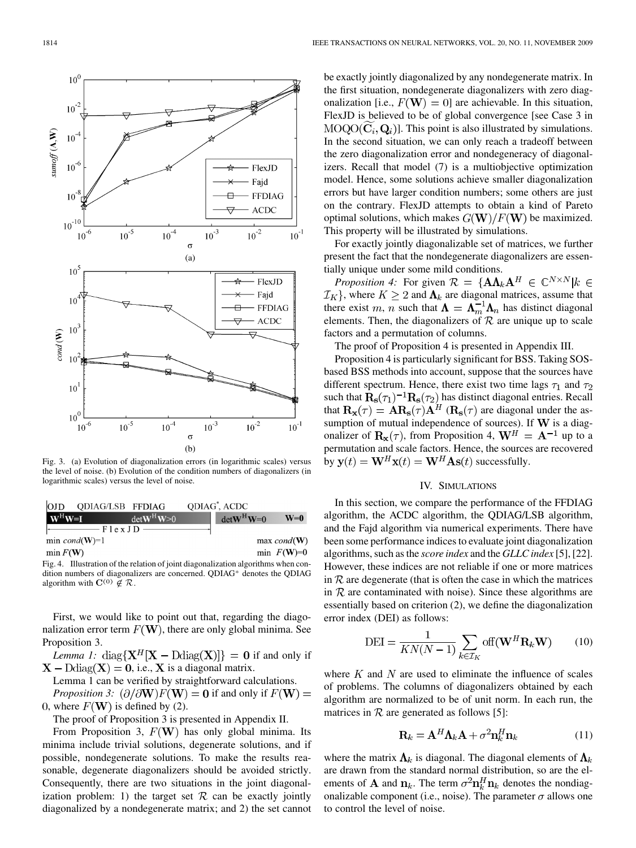$10<sup>6</sup>$ 

 $10^{-2}$ 



Fig. 3. (a) Evolution of diagonalization errors (in logarithmic scales) versus the level of noise. (b) Evolution of the condition numbers of diagonalizers (in logarithmic scales) versus the level of noise.

| <b>OJD</b>                                     | ODIAG/LSB FFDIAG        | QDIAG <sup>*</sup> , ACDC               |                         |
|------------------------------------------------|-------------------------|-----------------------------------------|-------------------------|
| $\mathbf{W}^{\mathrm{H}}\mathbf{W}=\mathbf{I}$ | $det$ <b>W</b> $\geq 0$ | $det$ <b>W</b> <sup>H</sup> <b>W</b> =0 | $W=0$                   |
| $\longrightarrow$ $\Gamma$ lex J D             |                         |                                         |                         |
| min $cond(W)=1$                                |                         |                                         | $max\ cond(\mathbf{W})$ |
| $\min F(W)$                                    |                         |                                         | min $F(W)=0$            |
|                                                |                         |                                         |                         |

Fig. 4. Illustration of the relation of joint diagonalization algorithms when condition numbers of diagonalizers are concerned. QDIAG<sup>\*</sup> denotes the QDIAG algorithm with  $\mathbf{C}^{(0)} \notin \mathcal{R}$ .

First, we would like to point out that, regarding the diagonalization error term  $F(W)$ , there are only global minima. See Proposition 3.

*Lemma 1:* diag{ $X^H[X - D \text{diag}(X)]$ } = 0 if and only if  $X - \text{Ddiag}(X) = 0$ , i.e., X is a diagonal matrix.

Lemma 1 can be verified by straightforward calculations.

*Proposition 3:*  $(\partial/\partial W)F(W) = 0$  if and only if  $F(W) =$ 0, where  $F(\mathbf{W})$  is defined by (2).

The proof of Proposition 3 is presented in Appendix II.

From Proposition 3,  $F(W)$  has only global minima. Its minima include trivial solutions, degenerate solutions, and if possible, nondegenerate solutions. To make the results reasonable, degenerate diagonalizers should be avoided strictly. Consequently, there are two situations in the joint diagonalization problem: 1) the target set  $R$  can be exactly jointly diagonalized by a nondegenerate matrix; and 2) the set cannot

be exactly jointly diagonalized by any nondegenerate matrix. In the first situation, nondegenerate diagonalizers with zero diagonalization [i.e.,  $F(\mathbf{W}) = 0$ ] are achievable. In this situation, FlexJD is believed to be of global convergence [see Case 3 in  $MOQO(C_i, Q_i)$ . This point is also illustrated by simulations. In the second situation, we can only reach a tradeoff between the zero diagonalization error and nondegeneracy of diagonalizers. Recall that model (7) is a multiobjective optimization model. Hence, some solutions achieve smaller diagonalization errors but have larger condition numbers; some others are just on the contrary. FlexJD attempts to obtain a kind of Pareto optimal solutions, which makes  $G(W)/F(W)$  be maximized. This property will be illustrated by simulations.

For exactly jointly diagonalizable set of matrices, we further present the fact that the nondegenerate diagonalizers are essentially unique under some mild conditions.

*Proposition 4:* For given  $\mathcal{R} = {\mathbf{A}\Lambda_k\mathbf{A}^H \in \mathbb{C}^{N \times N} | k \in$ , where  $K \geq 2$  and  $\Lambda_k$  are diagonal matrices, assume that there exist m, n such that  $\Lambda = \Lambda_m^{-1} \Lambda_n$  has distinct diagonal elements. Then, the diagonalizers of  $R$  are unique up to scale factors and a permutation of columns.

The proof of Proposition 4 is presented in Appendix III.

Proposition 4 is particularly significant for BSS. Taking SOSbased BSS methods into account, suppose that the sources have different spectrum. Hence, there exist two time lags  $\tau_1$  and  $\tau_2$ such that  $\mathbf{R_s}(\tau_1)^{-1} \mathbf{R_s}(\tau_2)$  has distinct diagonal entries. Recall that  $\mathbf{R}_{\mathbf{x}}(\tau) = \mathbf{A} \mathbf{R}_{\mathbf{s}}(\tau) \mathbf{A}^H$  ( $\mathbf{R}_{\mathbf{s}}(\tau)$  are diagonal under the assumption of mutual independence of sources). If  $W$  is a diagonalizer of  $\mathbf{R}_{\mathbf{x}}(\tau)$ , from Proposition 4,  $\mathbf{W}^H = \mathbf{A}^{-1}$  up to a permutation and scale factors. Hence, the sources are recovered by  $\mathbf{y}(t) = \mathbf{W}^H \mathbf{x}(t) = \mathbf{W}^H \mathbf{A} \mathbf{s}(t)$  successfully.

## IV. SIMULATIONS

In this section, we compare the performance of the FFDIAG algorithm, the ACDC algorithm, the QDIAG/LSB algorithm, and the Fajd algorithm via numerical experiments. There have been some performance indices to evaluate joint diagonalization algorithms, such as the *score index* and the *GLLC index* [5], [22]. However, these indices are not reliable if one or more matrices in  $R$  are degenerate (that is often the case in which the matrices in  $R$  are contaminated with noise). Since these algorithms are essentially based on criterion (2), we define the diagonalization error index (DEI) as follows:

$$
DEI = \frac{1}{KN(N-1)} \sum_{k \in \mathcal{I}_K} \text{off}(\mathbf{W}^H \mathbf{R}_k \mathbf{W}) \qquad (10)
$$

where  $K$  and  $N$  are used to eliminate the influence of scales of problems. The columns of diagonalizers obtained by each algorithm are normalized to be of unit norm. In each run, the matrices in  $R$  are generated as follows [5]:

$$
\mathbf{R}_k = \mathbf{A}^H \mathbf{\Lambda}_k \mathbf{A} + \sigma^2 \mathbf{n}_k^H \mathbf{n}_k \tag{11}
$$

where the matrix  $\Lambda_k$  is diagonal. The diagonal elements of  $\Lambda_k$ are drawn from the standard normal distribution, so are the elements of **A** and  $n_k$ . The term  $\sigma^2 n_k^H n_k$  denotes the nondiagonalizable component (i.e., noise). The parameter  $\sigma$  allows one to control the level of noise.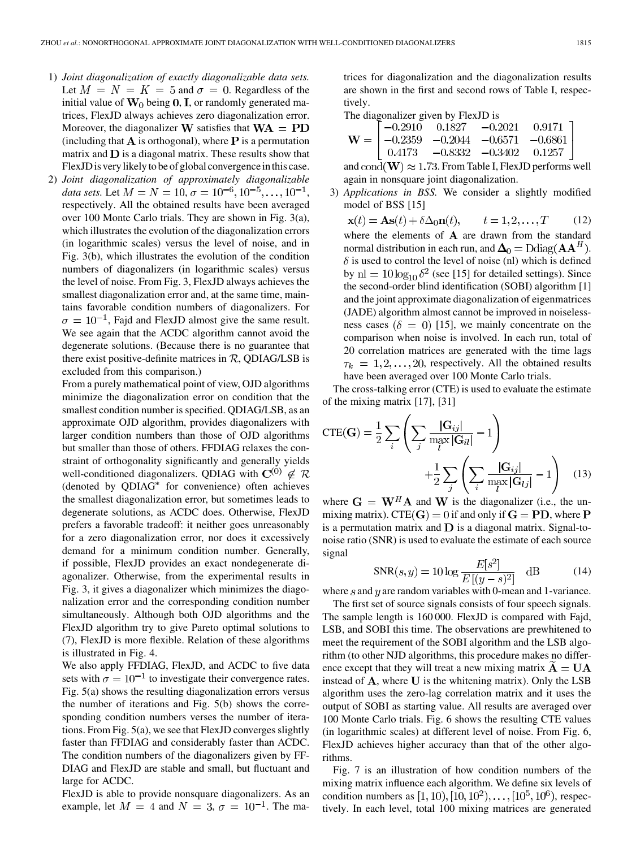- 1) *Joint diagonalization of exactly diagonalizable data sets.* Let  $M = N = K = 5$  and  $\sigma = 0$ . Regardless of the initial value of  $W_0$  being 0, I, or randomly generated matrices, FlexJD always achieves zero diagonalization error. Moreover, the diagonalizer **W** satisfies that  $WA = PD$ (including that  $A$  is orthogonal), where  $P$  is a permutation matrix and  $\bf{D}$  is a diagonal matrix. These results show that FlexJD is very likely to be of global convergence in this case.
- 2) *Joint diagonalization of approximately diagonalizable data sets.* Let  $M = N = 10, \sigma = 10^{-6}, 10^{-5}, \ldots, 10^{-1}$ , respectively. All the obtained results have been averaged over 100 Monte Carlo trials. They are shown in Fig. 3(a), which illustrates the evolution of the diagonalization errors (in logarithmic scales) versus the level of noise, and in Fig. 3(b), which illustrates the evolution of the condition numbers of diagonalizers (in logarithmic scales) versus the level of noise. From Fig. 3, FlexJD always achieves the smallest diagonalization error and, at the same time, maintains favorable condition numbers of diagonalizers. For  $\sigma = 10^{-1}$ , Fajd and FlexJD almost give the same result. We see again that the ACDC algorithm cannot avoid the degenerate solutions. (Because there is no guarantee that there exist positive-definite matrices in  $R$ , QDIAG/LSB is excluded from this comparison.)

From a purely mathematical point of view, OJD algorithms minimize the diagonalization error on condition that the smallest condition number is specified. QDIAG/LSB, as an approximate OJD algorithm, provides diagonalizers with larger condition numbers than those of OJD algorithms but smaller than those of others. FFDIAG relaxes the constraint of orthogonality significantly and generally yields well-conditioned diagonalizers. QDIAG with  $\mathbf{C}^{(0)} \notin \mathcal{R}$ (denoted by QDIAG<sup>\*</sup> for convenience) often achieves the smallest diagonalization error, but sometimes leads to degenerate solutions, as ACDC does. Otherwise, FlexJD prefers a favorable tradeoff: it neither goes unreasonably for a zero diagonalization error, nor does it excessively demand for a minimum condition number. Generally, if possible, FlexJD provides an exact nondegenerate diagonalizer. Otherwise, from the experimental results in Fig. 3, it gives a diagonalizer which minimizes the diagonalization error and the corresponding condition number simultaneously. Although both OJD algorithms and the FlexJD algorithm try to give Pareto optimal solutions to (7), FlexJD is more flexible. Relation of these algorithms is illustrated in Fig. 4.

We also apply FFDIAG, FlexJD, and ACDC to five data sets with  $\sigma = 10^{-1}$  to investigate their convergence rates. Fig. 5(a) shows the resulting diagonalization errors versus the number of iterations and Fig. 5(b) shows the corresponding condition numbers verses the number of iterations. From Fig. 5(a), we see that FlexJD converges slightly faster than FFDIAG and considerably faster than ACDC. The condition numbers of the diagonalizers given by FF-DIAG and FlexJD are stable and small, but fluctuant and large for ACDC.

FlexJD is able to provide nonsquare diagonalizers. As an example, let  $M = 4$  and  $N = 3$ ,  $\sigma = 10^{-1}$ . The ma-

trices for diagonalization and the diagonalization results are shown in the first and second rows of Table I, respectively.

The diagonalizer given by FlexJD is

$$
\mathbf{W} = \begin{bmatrix} -0.2910 & 0.1827 & -0.2021 & 0.9171 \\ -0.2359 & -0.2044 & -0.6571 & -0.6861 \\ 0.4173 & -0.8332 & -0.3402 & 0.1257 \end{bmatrix}
$$

and  $\text{cond}(\mathbf{W}) \approx 1.73$ . From Table I, FlexJD performs well again in nonsquare joint diagonalization.

3) *Applications in BSS.* We consider a slightly modified model of BSS [15]

$$
\mathbf{x}(t) = \mathbf{A}\mathbf{s}(t) + \delta \Delta_0 \mathbf{n}(t), \qquad t = 1, 2, \dots, T \qquad (12)
$$
\nwhere the elements of **A** are drawn from the standard normal distribution in each run, and  $\Delta_0 = \text{Ddiag}(\mathbf{A}\mathbf{A}^H)$ .  
\n $\delta$  is used to control the level of noise (n) which is defined by  $\text{nl} = 10 \log_{10} \delta^2$  (see [15] for detailed settings). Since the second-order blind identification (SOBI) algorithm [1] and the joint approximate diagonalization of eigenmatrices (JADE) algorithm almost cannot be improved in noiselessness cases ( $\delta = 0$ ) [15], we mainly concentrate on the comparison when noise is involved. In each run, total of 20 correlation matrices are generated with the time lags  $\tau_k = 1, 2, \dots, 20$ , respectively. All the obtained results have been averaged over 100 Monte Carlo trials.

The cross-talking error (CTE) is used to evaluate the estimate of the mixing matrix [17], [31]

$$
CTE(\mathbf{G}) = \frac{1}{2} \sum_{i} \left( \sum_{j} \frac{|\mathbf{G}_{ij}|}{\max_{l} |\mathbf{G}_{il}|} - 1 \right) + \frac{1}{2} \sum_{j} \left( \sum_{i} \frac{|\mathbf{G}_{ij}|}{\max_{l} |\mathbf{G}_{lj}|} - 1 \right) \quad (13)
$$

where  $G = W^H A$  and W is the diagonalizer (i.e., the unmixing matrix). CTE(G) = 0 if and only if  $G = PD$ , where P is a permutation matrix and  $D$  is a diagonal matrix. Signal-tonoise ratio (SNR) is used to evaluate the estimate of each source signal

$$
SNR(s,y) = 10 \log \frac{E[s^2]}{E[(y-s)^2]} \quad \text{dB} \tag{14}
$$

where  $s$  and  $y$  are random variables with 0-mean and 1-variance.

The first set of source signals consists of four speech signals. The sample length is 160 000. FlexJD is compared with Fajd, LSB, and SOBI this time. The observations are prewhitened to meet the requirement of the SOBI algorithm and the LSB algorithm (to other NJD algorithms, this procedure makes no difference except that they will treat a new mixing matrix  $A = UA$ instead of  $\bf{A}$ , where  $\bf{U}$  is the whitening matrix). Only the LSB algorithm uses the zero-lag correlation matrix and it uses the output of SOBI as starting value. All results are averaged over 100 Monte Carlo trials. Fig. 6 shows the resulting CTE values (in logarithmic scales) at different level of noise. From Fig. 6, FlexJD achieves higher accuracy than that of the other algorithms.

Fig. 7 is an illustration of how condition numbers of the mixing matrix influence each algorithm. We define six levels of condition numbers as  $[1, 10), [10, 10^2), \ldots, [10^5, 10^6)$ , respectively. In each level, total 100 mixing matrices are generated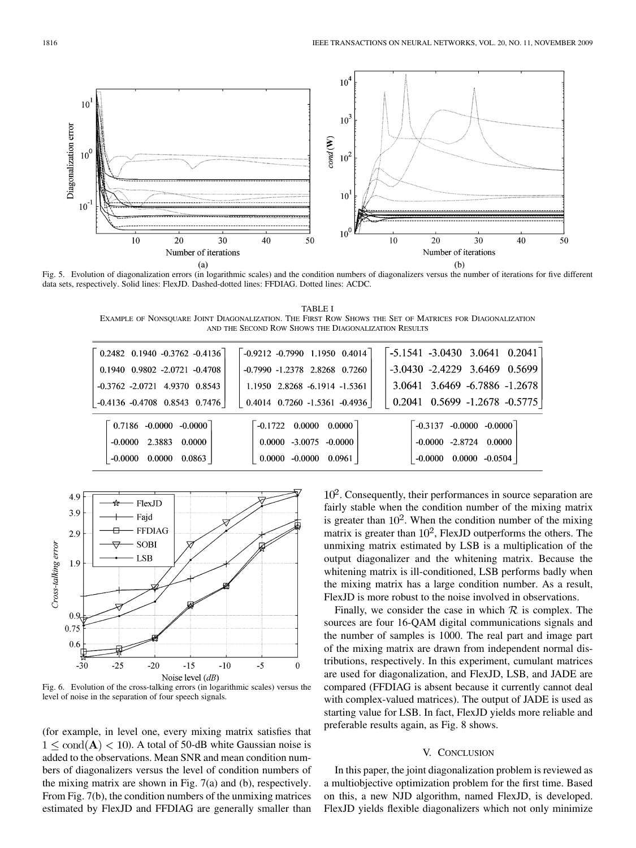

Fig. 5. Evolution of diagonalization errors (in logarithmic scales) and the condition numbers of diagonalizers versus the number of iterations for five different data sets, respectively. Solid lines: FlexJD. Dashed-dotted lines: FFDIAG. Dotted lines: ACDC.

TABLE I EXAMPLE OF NONSQUARE JOINT DIAGONALIZATION. THE FIRST ROW SHOWS THE SET OF MATRICES FOR DIAGONALIZATION AND THE SECOND ROW SHOWS THE DIAGONALIZATION RESULTS

| $\begin{bmatrix} 0.2482 & 0.1940 & -0.3762 & -0.4136 \end{bmatrix}$ | $-0.9212$ $-0.7990$ 1.1950 0.4014                         | $-5.1541 - 3.0430$ 3.0641 0.2041      |
|---------------------------------------------------------------------|-----------------------------------------------------------|---------------------------------------|
| $0.1940$ $0.9802$ $-2.0721$ $-0.4708$                               | $-0.7990 -1.2378$ 2.8268 0.7260                           | $-3.0430 - 2.4229$ 3.6469 0.5699      |
| $-0.3762 - 2.0721$ 4.9370 0.8543                                    | 1.1950 2.8268 -6.1914 -1.5361                             | 3.0641 3.6469 -6.7886 -1.2678         |
| $-0.4136 -0.4708$ 0.8543 0.7476                                     | $0.4014$ $0.7260$ $-1.5361$ $-0.4936$                     | $\vert$ 0.2041 0.5699 -1.2678 -0.5775 |
| $0.7186 - 0.0000 - 0.0000$                                          | $\begin{bmatrix} -0.1722 & 0.0000 & 0.0000 \end{bmatrix}$ | $-0.3137 - 0.0000 - 0.0000$           |
| $-0.0000$ 2.3883 0.0000                                             | $0.0000 - 3.0075 - 0.0000$                                | $-0.0000 -2.8724 0.0000$              |
| $0.0000 \quad 0.0863$<br>$-0.0000$                                  | $0.0000 - 0.0000 0.0961$                                  | $0.0000 -0.0504$<br>-0.0000           |
|                                                                     |                                                           |                                       |



Fig. 6. Evolution of the cross-talking errors (in logarithmic scales) versus the level of noise in the separation of four speech signals.

(for example, in level one, every mixing matrix satisfies that  $1 \leq \text{cond}(\mathbf{A}) < 10$ ). A total of 50-dB white Gaussian noise is added to the observations. Mean SNR and mean condition numbers of diagonalizers versus the level of condition numbers of the mixing matrix are shown in Fig. 7(a) and (b), respectively. From Fig. 7(b), the condition numbers of the unmixing matrices estimated by FlexJD and FFDIAG are generally smaller than

 $10<sup>2</sup>$ . Consequently, their performances in source separation are fairly stable when the condition number of the mixing matrix is greater than  $10<sup>2</sup>$ . When the condition number of the mixing matrix is greater than  $10^2$ , FlexJD outperforms the others. The unmixing matrix estimated by LSB is a multiplication of the output diagonalizer and the whitening matrix. Because the whitening matrix is ill-conditioned, LSB performs badly when the mixing matrix has a large condition number. As a result, FlexJD is more robust to the noise involved in observations.

Finally, we consider the case in which  $\mathcal R$  is complex. The sources are four 16-QAM digital communications signals and the number of samples is 1000. The real part and image part of the mixing matrix are drawn from independent normal distributions, respectively. In this experiment, cumulant matrices are used for diagonalization, and FlexJD, LSB, and JADE are compared (FFDIAG is absent because it currently cannot deal with complex-valued matrices). The output of JADE is used as starting value for LSB. In fact, FlexJD yields more reliable and preferable results again, as Fig. 8 shows.

#### V. CONCLUSION

In this paper, the joint diagonalization problem is reviewed as a multiobjective optimization problem for the first time. Based on this, a new NJD algorithm, named FlexJD, is developed. FlexJD yields flexible diagonalizers which not only minimize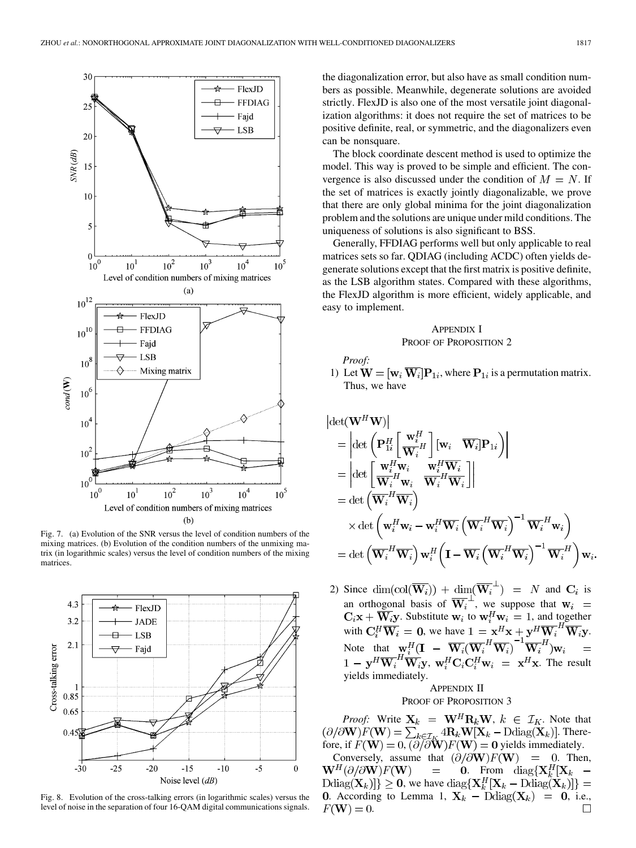

Fig. 7. (a) Evolution of the SNR versus the level of condition numbers of the mixing matrices. (b) Evolution of the condition numbers of the unmixing matrix (in logarithmic scales) versus the level of condition numbers of the mixing matrices.



Fig. 8. Evolution of the cross-talking errors (in logarithmic scales) versus the level of noise in the separation of four 16-QAM digital communications signals.

the diagonalization error, but also have as small condition numbers as possible. Meanwhile, degenerate solutions are avoided strictly. FlexJD is also one of the most versatile joint diagonalization algorithms: it does not require the set of matrices to be positive definite, real, or symmetric, and the diagonalizers even can be nonsquare.

The block coordinate descent method is used to optimize the model. This way is proved to be simple and efficient. The convergence is also discussed under the condition of  $M = N$ . If the set of matrices is exactly jointly diagonalizable, we prove that there are only global minima for the joint diagonalization problem and the solutions are unique under mild conditions. The uniqueness of solutions is also significant to BSS.

Generally, FFDIAG performs well but only applicable to real matrices sets so far. QDIAG (including ACDC) often yields degenerate solutions except that the first matrix is positive definite, as the LSB algorithm states. Compared with these algorithms, the FlexJD algorithm is more efficient, widely applicable, and easy to implement.

# APPENDIX I PROOF OF PROPOSITION 2

*Proof:*

1) Let  $\mathbf{W} = [\mathbf{w}_i \overline{\mathbf{W}_i}]\mathbf{P}_{1i}$ , where  $\mathbf{P}_{1i}$  is a permutation matrix. Thus, we have

$$
\det(\mathbf{W}^{H}\mathbf{W})\Big|\n=\left|\det\left(\mathbf{P}_{1i}^{H}\left[\frac{\mathbf{w}_{i}^{H}}{\mathbf{W}_{i}}\right](\mathbf{w}_{i}\cdot\overline{\mathbf{W}_{i}})\mathbf{P}_{1i}\right)\right|\n=\left|\det\left[\frac{\mathbf{w}_{i}^{H}\mathbf{w}_{i}}{\mathbf{W}_{i}^{H}\mathbf{w}_{i}}\cdot\frac{\mathbf{w}_{i}^{H}\overline{\mathbf{W}_{i}}}{\mathbf{W}_{i}^{H}\overline{\mathbf{W}_{i}}}\right]\right|\n=\det\left(\overline{\mathbf{W}_{i}^{H}\mathbf{W}_{i}}\right)\n\times \det\left(\mathbf{w}_{i}^{H}\mathbf{w}_{i}-\mathbf{w}_{i}^{H}\overline{\mathbf{W}_{i}}\left(\overline{\mathbf{W}_{i}^{H}\mathbf{W}_{i}}\right)^{-1}\overline{\mathbf{W}_{i}^{H}\mathbf{w}_{i}}\right)\n=\det\left(\overline{\mathbf{W}_{i}^{H}\mathbf{W}_{i}}\right)\mathbf{w}_{i}^{H}\left(\mathbf{I}-\overline{\mathbf{W}_{i}}\left(\overline{\mathbf{W}_{i}^{H}\mathbf{W}_{i}}\right)^{-1}\overline{\mathbf{W}_{i}^{H}}\right)\mathbf{w}_{i}.
$$

2) Since  $\dim(\text{col}(\overline{\mathbf{W}_i}) + \dim(\overline{\mathbf{W}_i}^{\perp}) = N$  and  $\mathbf{C}_i$  is an orthogonal basis of  $W_i^+$ , we suppose that . Substitute  $w_i$  to  $w_i^H w_i = 1$ , and together with  $\mathbf{C}_i^H \mathbf{W}_i = \mathbf{0}$ , we have  $1 = \mathbf{x}^H \mathbf{x} + \mathbf{y}^H \mathbf{W}_i^H \mathbf{W}_i \mathbf{y}$ . Note that ,  $\mathbf{w}_i^H \mathbf{C}_i \mathbf{C}_i^H \mathbf{w}_i = \mathbf{x}^H \mathbf{x}$ . The result yields immediately.

# APPENDIX II PROOF OF PROPOSITION 3

*Proof:* Write  $X_k = W^H R_k W$ ,  $k \in \mathcal{I}_K$ . Note that . Therefore, if  $F(\mathbf{W}) = 0$ ,  $(\partial/\partial \mathbf{W})F(\mathbf{W}) = 0$  yields immediately. Conversely, assume that  $\left(\partial/\partial \mathbf{W}\right)F(\mathbf{W}) = 0$ . Then,  $\mathbf{W}^H(\partial/\partial \mathbf{W})F(\mathbf{W})$  $\equiv$ **0.** From diag $\{X_k^H | X_k$  –  $\text{Ddiag}(\mathbf{X}_k)$ }  $\geq 0$ , we have  $\text{diag}\{\mathbf{X}_k^H[\mathbf{X}_k - \text{Ddiag}(\mathbf{X}_k)]\}$  = 0. According to Lemma 1,  $\mathbf{X}_k = \text{Ddiag}(\mathbf{X}_k) = 0$ , i.e.,  $F(\mathbf{W})=0.$  $\Box$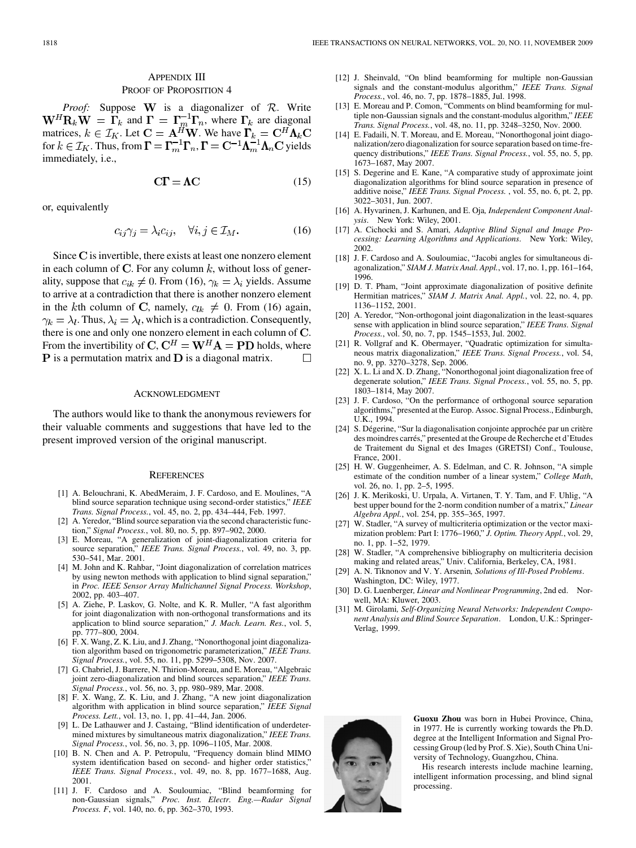# APPENDIX III PROOF OF PROPOSITION 4

*Proof:* Suppose **W** is a diagonalizer of  $R$ . Write and  $\Gamma = \Gamma_m^{-1} \Gamma_n$ , where  $\Gamma_k$  are diagonal matrices,  $k \in \mathcal{I}_K$ . Let  $\mathbf{C} = \mathbf{A}^H \mathbf{W}$ . We have for  $k \in \mathcal{I}_K$ . Thus, from  $\mathbf{\Gamma} = \mathbf{\Gamma}_m^{-1} \mathbf{\Gamma}_n$ ,  $\mathbf{\Gamma} = \mathbf{C}^{-1} \mathbf{\Lambda}_m^{-1} \mathbf{\Lambda}_n \mathbf{C}$  yields immediately, i.e.,

$$
C\Gamma = \Lambda C \tag{15}
$$

or, equivalently

$$
c_{ij}\gamma_j = \lambda_i c_{ij}, \quad \forall i, j \in \mathcal{I}_M. \tag{16}
$$

Since  $C$  is invertible, there exists at least one nonzero element in each column of C. For any column  $k$ , without loss of generality, suppose that  $c_{ik} \neq 0$ . From (16),  $\gamma_k = \lambda_i$  yields. Assume to arrive at a contradiction that there is another nonzero element in the kth column of C, namely,  $c_{lk} \neq 0$ . From (16) again,  $\gamma_k = \lambda_l$ . Thus,  $\lambda_i = \lambda_l$ , which is a contradiction. Consequently, there is one and only one nonzero element in each column of  $C$ . From the invertibility of C,  $C^H = W^H A = PD$  holds, where **P** is a permutation matrix and **D** is a diagonal matrix.  $\Box$ 

#### ACKNOWLEDGMENT

The authors would like to thank the anonymous reviewers for their valuable comments and suggestions that have led to the present improved version of the original manuscript.

#### **REFERENCES**

- [1] A. Belouchrani, K. AbedMeraim, J. F. Cardoso, and E. Moulines, "A blind source separation technique using second-order statistics," *IEEE Trans. Signal Process.*, vol. 45, no. 2, pp. 434–444, Feb. 1997.
- [2] A. Yeredor, "Blind source separation via the second characteristic function," *Signal Process.*, vol. 80, no. 5, pp. 897–902, 2000.
- [3] E. Moreau, "A generalization of joint-diagonalization criteria for source separation," *IEEE Trans. Signal Process.*, vol. 49, no. 3, pp. 530–541, Mar. 2001.
- [4] M. John and K. Rahbar, "Joint diagonalization of correlation matrices by using newton methods with application to blind signal separation," in *Proc. IEEE Sensor Array Multichannel Signal Process. Workshop*, 2002, pp. 403–407.
- [5] A. Ziehe, P. Laskov, G. Nolte, and K. R. Muller, "A fast algorithm for joint diagonalization with non-orthogonal transformations and its application to blind source separation," *J. Mach. Learn. Res.*, vol. 5, pp. 777–800, 2004.
- [6] F. X. Wang, Z. K. Liu, and J. Zhang, "Nonorthogonal joint diagonalization algorithm based on trigonometric parameterization," *IEEE Trans. Signal Process.*, vol. 55, no. 11, pp. 5299–5308, Nov. 2007.
- [7] G. Chabriel, J. Barrere, N. Thirion-Moreau, and E. Moreau, "Algebraic joint zero-diagonalization and blind sources separation," *IEEE Trans. Signal Process.*, vol. 56, no. 3, pp. 980–989, Mar. 2008.
- [8] F. X. Wang, Z. K. Liu, and J. Zhang, "A new joint diagonalization algorithm with application in blind source separation," *IEEE Signal Process. Lett.*, vol. 13, no. 1, pp. 41–44, Jan. 2006.
- [9] L. De Lathauwer and J. Castaing, "Blind identification of underdetermined mixtures by simultaneous matrix diagonalization," *IEEE Trans. Signal Process.*, vol. 56, no. 3, pp. 1096–1105, Mar. 2008.
- [10] B. N. Chen and A. P. Petropulu, "Frequency domain blind MIMO system identification based on second- and higher order statistics," *IEEE Trans. Signal Process.*, vol. 49, no. 8, pp. 1677–1688, Aug. 2001.
- [11] J. F. Cardoso and A. Souloumiac, "Blind beamforming for non-Gaussian signals," *Proc. Inst. Electr. Eng.—Radar Signal Process. F*, vol. 140, no. 6, pp. 362–370, 1993.
- [12] J. Sheinvald, "On blind beamforming for multiple non-Gaussian signals and the constant-modulus algorithm," *IEEE Trans. Signal Process.*, vol. 46, no. 7, pp. 1878–1885, Jul. 1998.
- [13] E. Moreau and P. Comon, "Comments on blind beamforming for multiple non-Gaussian signals and the constant-modulus algorithm," *IEEE Trans. Signal Process.*, vol. 48, no. 11, pp. 3248–3250, Nov. 2000.
- [14] E. Fadaili, N. T. Moreau, and E. Moreau, "Nonorthogonal joint diagonalization/zero diagonalization for source separation based on time-frequency distributions," *IEEE Trans. Signal Process.*, vol. 55, no. 5, pp. 1673–1687, May 2007.
- [15] S. Degerine and E. Kane, "A comparative study of approximate joint diagonalization algorithms for blind source separation in presence of additive noise," *IEEE Trans. Signal Process.* , vol. 55, no. 6, pt. 2, pp. 3022–3031, Jun. 2007.
- [16] A. Hyvarinen, J. Karhunen, and E. Oja*, Independent Component Analysis*. New York: Wiley, 2001.
- [17] A. Cichocki and S. Amari*, Adaptive Blind Signal and Image Processing: Learning Algorithms and Applications*. New York: Wiley, 2002.
- [18] J. F. Cardoso and A. Souloumiac, "Jacobi angles for simultaneous diagonalization," *SIAM J. Matrix Anal. Appl.*, vol. 17, no. 1, pp. 161–164, 1996.
- [19] D. T. Pham, "Joint approximate diagonalization of positive definite Hermitian matrices," *SIAM J. Matrix Anal. Appl.*, vol. 22, no. 4, pp. 1136–1152, 2001.
- [20] A. Yeredor, "Non-orthogonal joint diagonalization in the least-squares sense with application in blind source separation," *IEEE Trans. Signal Process.*, vol. 50, no. 7, pp. 1545–1553, Jul. 2002.
- [21] R. Vollgraf and K. Obermayer, "Quadratic optimization for simultaneous matrix diagonalization," *IEEE Trans. Signal Process.*, vol. 54, no. 9, pp. 3270–3278, Sep. 2006.
- [22] X. L. Li and X. D. Zhang, "Nonorthogonal joint diagonalization free of degenerate solution," *IEEE Trans. Signal Process.*, vol. 55, no. 5, pp. 1803–1814, May 2007.
- [23] J. F. Cardoso, "On the performance of orthogonal source separation algorithms," presented at the Europ. Assoc. Signal Process., Edinburgh, U.K., 1994.
- [24] S. Dégerine, "Sur la diagonalisation conjointe approchée par un critère des moindres carrés," presented at the Groupe de Recherche et d'Etudes de Traitement du Signal et des Images (GRETSI) Conf., Toulouse, France, 2001.
- [25] H. W. Guggenheimer, A. S. Edelman, and C. R. Johnson, "A simple estimate of the condition number of a linear system," *College Math*, vol. 26, no. 1, pp. 2–5, 1995.
- [26] J. K. Merikoski, U. Urpala, A. Virtanen, T. Y. Tam, and F. Uhlig, "A best upper bound for the 2-norm condition number of a matrix," *Linear Algebra Appl.*, vol. 254, pp. 355–365, 1997.
- [27] W. Stadler, "A survey of multicriteria optimization or the vector maximization problem: Part I: 1776–1960," *J. Optim. Theory Appl.*, vol. 29, no. 1, pp. 1–52, 1979.
- [28] W. Stadler, "A comprehensive bibliography on multicriteria decision making and related areas," Univ. California, Berkeley, CA, 1981.
- [29] A. N. Tiknonov and V. Y. Arsenin*, Solutions of Ill-Posed Problems*. Washington, DC: Wiley, 1977.
- [30] D. G. Luenberger*, Linear and Nonlinear Programming*, 2nd ed. Norwell, MA: Kluwer, 2003.
- [31] M. Girolami*, Self-Organizing Neural Networks: Independent Component Analysis and Blind Source Separation*. London, U.K.: Springer-Verlag, 1999.



**Guoxu Zhou** was born in Hubei Province, China, in 1977. He is currently working towards the Ph.D. degree at the Intelligent Information and Signal Processing Group (led by Prof. S. Xie), South China University of Technology, Guangzhou, China.

His research interests include machine learning, intelligent information processing, and blind signal processing.